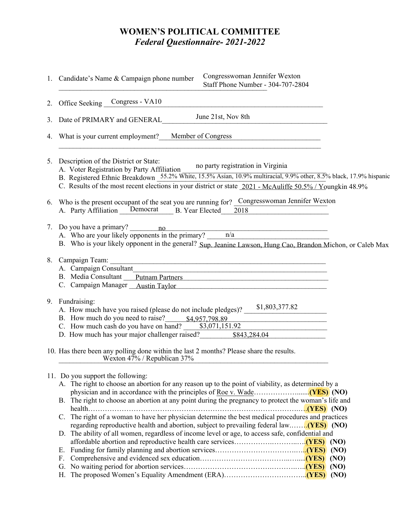# **WOMEN'S POLITICAL COMMITTEE** *Federal Questionnaire- 2021-2022*

|    | <b>WOMEN'S POLITICAL COMMITTEE</b><br><b>Federal Questionnaire-2021-2022</b>                                                                                                                                                                                                                                                                                                                                                                                                           |
|----|----------------------------------------------------------------------------------------------------------------------------------------------------------------------------------------------------------------------------------------------------------------------------------------------------------------------------------------------------------------------------------------------------------------------------------------------------------------------------------------|
|    | Congresswoman Jennifer Wexton<br>1. Candidate's Name & Campaign phone number<br>Staff Phone Number - 304-707-2804                                                                                                                                                                                                                                                                                                                                                                      |
| 2. | Office Seeking Congress - VA10<br><u>and the state of the state of the state of the state of the state of the state of the state of the state of th</u>                                                                                                                                                                                                                                                                                                                                |
|    | June 21st, Nov 8th<br>3. Date of PRIMARY and GENERAL                                                                                                                                                                                                                                                                                                                                                                                                                                   |
| 4. | What is your current employment? Member of Congress                                                                                                                                                                                                                                                                                                                                                                                                                                    |
|    | 5. Description of the District or State:<br>no party registration in Virginia<br>A. Voter Registration by Party Affiliation<br>B. Registered Ethnic Breakdown 55.2% White, 15.5% Asian, 10.9% multiracial, 9.9% other, 8.5% black, 17.9% hispanic<br>C. Results of the most recent elections in your district or state $\frac{2021}{2021}$ - McAuliffe 50.5% / Youngkin 48.9%                                                                                                          |
|    | 6. Who is the present occupant of the seat you are running for? Congresswoman Jennifer Wexton<br>A. Party Affiliation Democrat B. Year Elected<br>2018                                                                                                                                                                                                                                                                                                                                 |
|    | 7. Do you have a primary? 10<br>A. Who are your likely opponents in the primary? $n/a$<br>B. Who is your likely opponent in the general? Sup. Jeanine Lawson, Hung Cao, Brandon Michon, or Caleb Max                                                                                                                                                                                                                                                                                   |
|    | 8. Campaign Team:<br><u> 1989 - Jan Barnett, fransk politik (d. 1989)</u><br>A. Campaign Consultant<br><u> 1989 - Johann Stoff, amerikansk politiker (d. 1989)</u><br>B. Media Consultant Putnam Partners<br>C. Campaign Manager __ Austin Taylor                                                                                                                                                                                                                                      |
| 9. | Fundraising:<br>A. How much have you raised (please do not include pledges)? $\frac{$1,803,377.82}{}$<br>B. How much do you need to raise? \$4,957,798.89<br>C. How much cash do you have on hand? $\frac{$(0.70, 1.51.92)}{1}$<br>D. How much has your major challenger raised? \$843,284.04                                                                                                                                                                                          |
|    | 10. Has there been any polling done within the last 2 months? Please share the results.<br>Wexton 47% / Republican 37%                                                                                                                                                                                                                                                                                                                                                                 |
|    | 11. Do you support the following:<br>A. The right to choose an abortion for any reason up to the point of viability, as determined by a<br>B. The right to choose an abortion at any point during the pregnancy to protect the woman's life and<br>C. The right of a woman to have her physician determine the best medical procedures and practices<br>D. The ability of all women, regardless of income level or age, to access safe, confidential and<br>Е.<br>$\mathbf{F}_{\cdot}$ |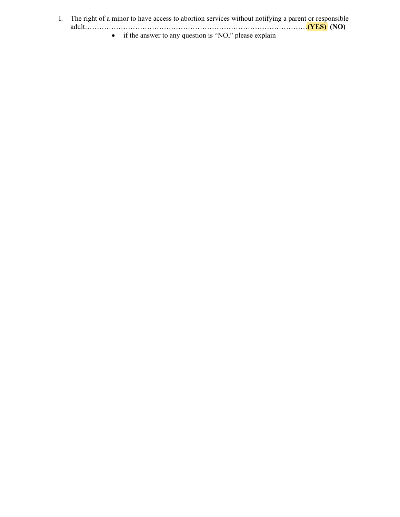I. The right of a minor to have access to abortion services without notifying a parent or responsible adult.<br>
if the answer to any question is "NO," please explain adult…………………………………………………………………………………**(YES) (NO)**

• if the answer to any question is "NO," please explain